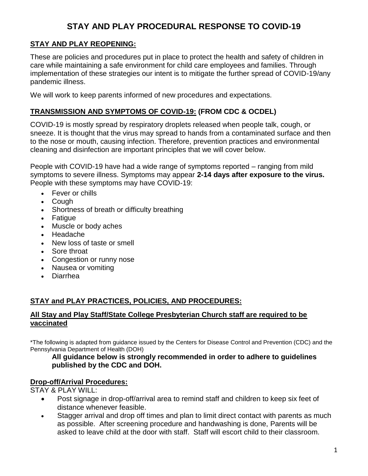# **STAY AND PLAY PROCEDURAL RESPONSE TO COVID-19**

# **STAY AND PLAY REOPENING:**

These are policies and procedures put in place to protect the health and safety of children in care while maintaining a safe environment for child care employees and families. Through implementation of these strategies our intent is to mitigate the further spread of COVID-19/any pandemic illness.

We will work to keep parents informed of new procedures and expectations.

## **TRANSMISSION AND SYMPTOMS OF COVID-19: (FROM CDC & OCDEL)**

COVID-19 is mostly spread by respiratory droplets released when people talk, cough, or sneeze. It is thought that the virus may spread to hands from a contaminated surface and then to the nose or mouth, causing infection. Therefore, prevention practices and environmental cleaning and disinfection are important principles that we will cover below.

People with COVID-19 have had a wide range of symptoms reported – ranging from mild symptoms to severe illness. Symptoms may appear **2-14 days after exposure to the virus.**  People with these symptoms may have COVID-19:

- Fever or chills
- Cough
- Shortness of breath or difficulty breathing
- Fatigue
- Muscle or body aches
- Headache
- New loss of taste or smell
- Sore throat
- Congestion or runny nose
- Nausea or vomiting
- Diarrhea

# **STAY and PLAY PRACTICES, POLICIES, AND PROCEDURES:**

#### **All Stay and Play Staff/State College Presbyterian Church staff are required to be vaccinated**

\*The following is adapted from guidance issued by the Centers for Disease Control and Prevention (CDC) and the Pennsylvania Department of Health (DOH)

#### **All guidance below is strongly recommended in order to adhere to guidelines published by the CDC and DOH.**

#### **Drop-off/Arrival Procedures:**

STAY & PLAY WILL:

- Post signage in drop-off/arrival area to remind staff and children to keep six feet of distance whenever feasible.
- Stagger arrival and drop off times and plan to limit direct contact with parents as much as possible. After screening procedure and handwashing is done, Parents will be asked to leave child at the door with staff. Staff will escort child to their classroom.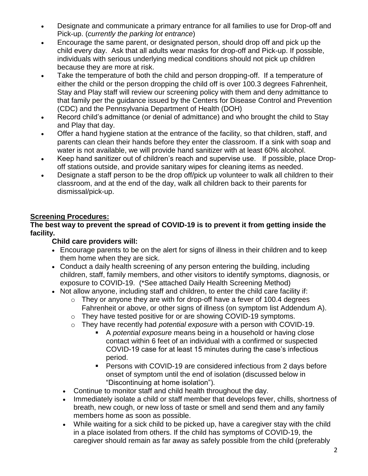- Designate and communicate a primary entrance for all families to use for Drop-off and Pick-up. (*currently the parking lot entrance*)
- Encourage the same parent, or designated person, should drop off and pick up the child every day. Ask that all adults wear masks for drop-off and Pick-up. If possible, individuals with serious underlying medical conditions should not pick up children because they are more at risk.
- Take the temperature of both the child and person dropping-off. If a temperature of either the child or the person dropping the child off is over 100.3 degrees Fahrenheit, Stay and Play staff will review our screening policy with them and deny admittance to that family per the guidance issued by the Centers for Disease Control and Prevention (CDC) and the Pennsylvania Department of Health (DOH)
- Record child's admittance (or denial of admittance) and who brought the child to Stay and Play that day.
- Offer a hand hygiene station at the entrance of the facility, so that children, staff, and parents can clean their hands before they enter the classroom. If a sink with soap and water is not available, we will provide hand sanitizer with at least 60% alcohol.
- Keep hand sanitizer out of children's reach and supervise use. If possible, place Dropoff stations outside, and provide sanitary wipes for cleaning items as needed.
- Designate a staff person to be the drop off/pick up volunteer to walk all children to their classroom, and at the end of the day, walk all children back to their parents for dismissal/pick-up.

# **Screening Procedures:**

#### **The best way to prevent the spread of COVID-19 is to prevent it from getting inside the facility.**

## **Child care providers will:**

- Encourage parents to be on the alert for signs of illness in their children and to keep them home when they are sick.
- Conduct a daily health screening of any person entering the building, including children, staff, family members, and other visitors to identify symptoms, diagnosis, or exposure to COVID-19. (\*See attached Daily Health Screening Method)
- Not allow anyone, including staff and children, to enter the child care facility if:
	- $\circ$  They or anyone they are with for drop-off have a fever of 100.4 degrees Fahrenheit or above, or other signs of illness (on symptom list Addendum A).
	- o They have tested positive for or are showing COVID-19 symptoms.
	- o They have recently had *potential exposure* with a person with COVID-19.
		- A *potential exposure* means being in a household or having close contact within 6 feet of an individual with a confirmed or suspected COVID-19 case for at least 15 minutes during the case's infectious period.
		- Persons with COVID-19 are considered infectious from 2 days before onset of symptom until the end of isolation (discussed below in "Discontinuing at home isolation").
	- Continue to monitor staff and child health throughout the day.
	- Immediately isolate a child or staff member that develops fever, chills, shortness of breath, new cough, or new loss of taste or smell and send them and any family members home as soon as possible.
	- While waiting for a sick child to be picked up, have a caregiver stay with the child in a place isolated from others. If the child has symptoms of COVID-19, the caregiver should remain as far away as safely possible from the child (preferably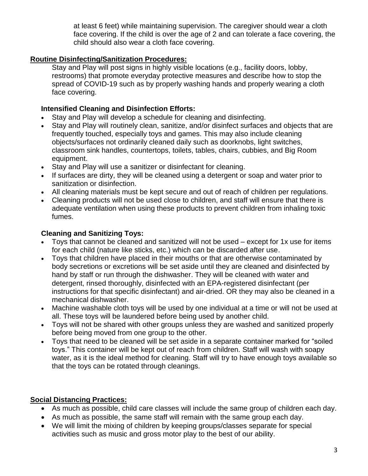at least 6 feet) while maintaining supervision. The caregiver should wear a cloth face covering. If the child is over the age of 2 and can tolerate a face covering, the child should also wear a cloth face covering.

## **Routine Disinfecting/Sanitization Procedures:**

Stay and Play will post signs in highly visible locations (e.g., facility doors, lobby, restrooms) that promote everyday protective measures and describe how to stop the spread of COVID-19 such as by properly washing hands and properly wearing a cloth face covering.

## **Intensified Cleaning and Disinfection Efforts:**

- Stay and Play will develop a schedule for cleaning and disinfecting.
- Stay and Play will routinely clean, sanitize, and/or disinfect surfaces and objects that are frequently touched, especially toys and games. This may also include cleaning objects/surfaces not ordinarily cleaned daily such as doorknobs, light switches, classroom sink handles, countertops, toilets, tables, chairs, cubbies, and Big Room equipment.
- Stay and Play will use a sanitizer or disinfectant for cleaning.
- If surfaces are dirty, they will be cleaned using a detergent or soap and water prior to sanitization or disinfection.
- All cleaning materials must be kept secure and out of reach of children per regulations.
- Cleaning products will not be used close to children, and staff will ensure that there is adequate ventilation when using these products to prevent children from inhaling toxic fumes.

# **Cleaning and Sanitizing Toys:**

- Toys that cannot be cleaned and sanitized will not be used except for 1x use for items for each child (nature like sticks, etc.) which can be discarded after use.
- Toys that children have placed in their mouths or that are otherwise contaminated by body secretions or excretions will be set aside until they are cleaned and disinfected by hand by staff or run through the dishwasher. They will be cleaned with water and detergent, rinsed thoroughly, disinfected with an EPA-registered disinfectant (per instructions for that specific disinfectant) and air-dried. OR they may also be cleaned in a mechanical dishwasher.
- Machine washable cloth toys will be used by one individual at a time or will not be used at all. These toys will be laundered before being used by another child.
- Toys will not be shared with other groups unless they are washed and sanitized properly before being moved from one group to the other.
- Toys that need to be cleaned will be set aside in a separate container marked for "soiled toys." This container will be kept out of reach from children. Staff will wash with soapy water, as it is the ideal method for cleaning. Staff will try to have enough toys available so that the toys can be rotated through cleanings.

# **Social Distancing Practices:**

- As much as possible, child care classes will include the same group of children each day.
- As much as possible, the same staff will remain with the same group each day.
- We will limit the mixing of children by keeping groups/classes separate for special activities such as music and gross motor play to the best of our ability.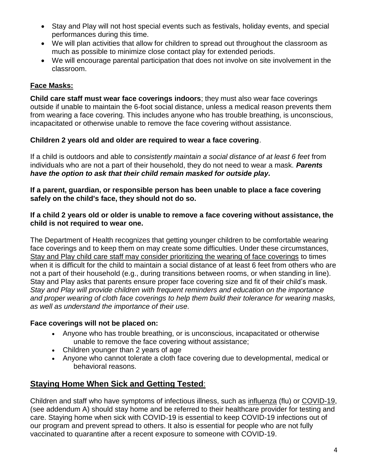- Stay and Play will not host special events such as festivals, holiday events, and special performances during this time.
- We will plan activities that allow for children to spread out throughout the classroom as much as possible to minimize close contact play for extended periods.
- We will encourage parental participation that does not involve on site involvement in the classroom.

# **Face Masks:**

**Child care staff must wear face coverings indoors**; they must also wear face coverings outside if unable to maintain the 6-foot social distance, unless a medical reason prevents them from wearing a face covering. This includes anyone who has trouble breathing, is unconscious, incapacitated or otherwise unable to remove the face covering without assistance.

## **Children 2 years old and older are required to wear a face covering**.

If a child is outdoors and able to *consistently maintain a social distance of at least 6 feet* from individuals who are not a part of their household, they do not need to wear a mask. *Parents have the option to ask that their child remain masked for outside play.*

**If a parent, guardian, or responsible person has been unable to place a face covering safely on the child's face, they should not do so.** 

#### **If a child 2 years old or older is unable to remove a face covering without assistance, the child is not required to wear one.**

The Department of Health recognizes that getting younger children to be comfortable wearing face coverings and to keep them on may create some difficulties. Under these circumstances, Stay and Play child care staff may consider prioritizing the wearing of face coverings to times when it is difficult for the child to maintain a social distance of at least 6 feet from others who are not a part of their household (e.g., during transitions between rooms, or when standing in line). Stay and Play asks that parents ensure proper face covering size and fit of their child's mask. *Stay and Play will provide children with frequent reminders and education on the importance and proper wearing of cloth face coverings to help them build their tolerance for wearing masks, as well as understand the importance of their use.* 

## **Face coverings will not be placed on:**

- Anyone who has trouble breathing, or is unconscious, incapacitated or otherwise unable to remove the face covering without assistance;
- Children younger than 2 years of age
- Anyone who cannot tolerate a cloth face covering due to developmental, medical or behavioral reasons.

# **Staying Home When Sick and Getting Tested**:

Children and staff who have symptoms of infectious illness, such as [influenza](https://www.cdc.gov/flu/symptoms/flu-vs-covid19.htm) (flu) or [COVID-19,](https://www.cdc.gov/coronavirus/2019-ncov/symptoms-testing/symptoms.html) (see addendum A) should stay home and be referred to their healthcare provider for testing and care. Staying home when sick with COVID-19 is essential to keep COVID-19 infections out of our program and prevent spread to others. It also is essential for people who are not fully vaccinated to quarantine after a recent exposure to someone with COVID-19.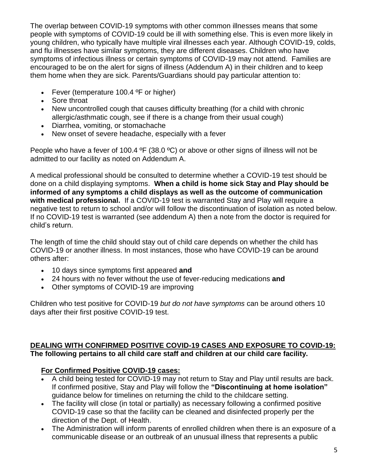The overlap between COVID-19 symptoms with other common illnesses means that some people with symptoms of COVID-19 could be ill with something else. This is even more likely in young children, who typically have multiple viral illnesses each year. Although COVID-19, colds, and flu illnesses have similar symptoms, they are different diseases. Children who have symptoms of infectious illness or certain symptoms of COVID-19 may not attend. Families are encouraged to be on the alert for [signs of illness](https://www.cdc.gov/coronavirus/2019-ncov/groups/families-children.html) (Addendum A) in their children and to keep them home when they are sick. Parents/Guardians should pay particular attention to:

- Fever (temperature 100.4 °F or higher)
- Sore throat
- New uncontrolled cough that causes difficulty breathing (for a child with chronic allergic/asthmatic cough, see if there is a change from their usual cough)
- Diarrhea, vomiting, or stomachache
- New onset of severe headache, especially with a fever

People who have a fever of 100.4 °F (38.0 °C) or above or other signs of illness will not be admitted to our facility as noted on Addendum A.

A medical professional should be consulted to determine whether a COVID-19 test should be done on a child displaying symptoms. **When a child is home sick Stay and Play should be informed of any symptoms a child displays as well as the outcome of communication with medical professional.** If a COVID-19 test is warranted Stay and Play will require a negative test to return to school and/or will follow the discontinuation of isolation as noted below. If no COVID-19 test is warranted (see addendum A) then a note from the doctor is required for child's return.

The length of time the child should stay out of child care depends on whether the child has COVID-19 or another illness. In most instances, those who have COVID-19 [can be around](https://www.cdc.gov/coronavirus/2019-ncov/hcp/duration-isolation.html)  [others](https://www.cdc.gov/coronavirus/2019-ncov/hcp/duration-isolation.html) after:

- 10 days since symptoms first appeared **and**
- 24 hours with no fever without the use of fever-reducing medications **and**
- Other symptoms of COVID-19 are improving

Children who test positive for COVID-19 *but do not have symptoms* can be around others 10 days after their first positive COVID-19 test.

## **DEALING WITH CONFIRMED POSITIVE COVID-19 CASES AND EXPOSURE TO COVID-19: The following pertains to all child care staff and children at our child care facility.**

# **For Confirmed Positive COVID-19 cases:**

- A child being tested for COVID-19 may not return to Stay and Play until results are back. If confirmed positive, Stay and Play will follow the **"Discontinuing at home isolation"**  guidance below for timelines on returning the child to the childcare setting.
- The facility will close (in total or partially) as necessary following a confirmed positive COVID-19 case so that the facility can be cleaned and disinfected properly per the direction of the Dept. of Health.
- The Administration will inform parents of enrolled children when there is an exposure of a communicable disease or an outbreak of an unusual illness that represents a public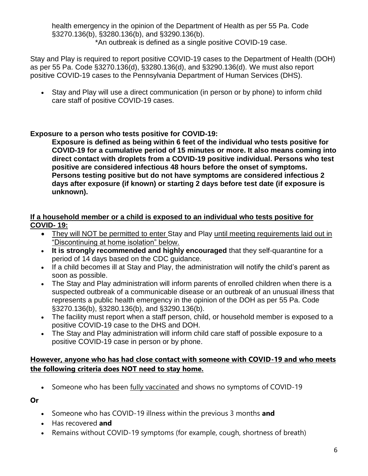health emergency in the opinion of the Department of Health as per 55 Pa. Code §3270.136(b), §3280.136(b), and §3290.136(b). \*An outbreak is defined as a single positive COVID-19 case.

Stay and Play is required to report positive COVID-19 cases to the Department of Health (DOH) as per 55 Pa. Code §3270.136(d), §3280.136(d), and §3290.136(d). We must also report positive COVID-19 cases to the Pennsylvania Department of Human Services (DHS).

 Stay and Play will use a direct communication (in person or by phone) to inform child care staff of positive COVID-19 cases.

# **Exposure to a person who tests positive for COVID-19:**

**Exposure is defined as being within 6 feet of the individual who tests positive for COVID-19 for a cumulative period of 15 minutes or more. It also means coming into direct contact with droplets from a COVID-19 positive individual. Persons who test positive are considered infectious 48 hours before the onset of symptoms. Persons testing positive but do not have symptoms are considered infectious 2 days after exposure (if known) or starting 2 days before test date (if exposure is unknown).** 

#### **If a household member or a child is exposed to an individual who tests positive for COVID- 19:**

- They will NOT be permitted to enter Stay and Play until meeting requirements laid out in "Discontinuing at home isolation" below.
- **It is strongly recommended and highly encouraged** that they self-quarantine for a period of 14 days based on the CDC guidance.
- If a child becomes ill at Stay and Play, the administration will notify the child's parent as soon as possible.
- The Stay and Play administration will inform parents of enrolled children when there is a suspected outbreak of a communicable disease or an outbreak of an unusual illness that represents a public health emergency in the opinion of the DOH as per 55 Pa. Code §3270.136(b), §3280.136(b), and §3290.136(b).
- The facility must report when a staff person, child, or household member is exposed to a positive COVID-19 case to the DHS and DOH.
- The Stay and Play administration will inform child care staff of possible exposure to a positive COVID-19 case in person or by phone.

## **However, anyone who has had close contact with someone with COVID-19 and who meets the following criteria does NOT need to stay home.**

• Someone who has been [fully vaccinated](https://www.cdc.gov/coronavirus/2019-ncov/vaccines/fully-vaccinated.html) and shows no symptoms of COVID-19

**Or**

- Someone who has COVID-19 illness within the previous 3 months **and**
- Has recovered **and**
- Remains without COVID-19 symptoms (for example, cough, shortness of breath)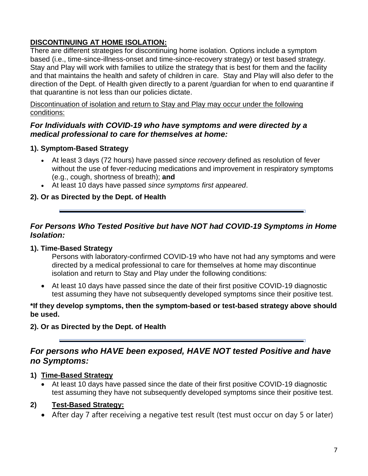# **DISCONTINUING AT HOME ISOLATION:**

There are different strategies for discontinuing home isolation. Options include a symptom based (i.e., time-since-illness-onset and time-since-recovery strategy) or test based strategy. Stay and Play will work with families to utilize the strategy that is best for them and the facility and that maintains the health and safety of children in care. Stay and Play will also defer to the direction of the Dept. of Health given directly to a parent /guardian for when to end quarantine if that quarantine is not less than our policies dictate.

Discontinuation of isolation and return to Stay and Play may occur under the following conditions:

## *For Individuals with COVID-19 who have symptoms and were directed by a medical professional to care for themselves at home:*

## **1). Symptom-Based Strategy**

- At least 3 days (72 hours) have passed *since recovery* defined as resolution of fever without the use of fever-reducing medications and improvement in respiratory symptoms (e.g., cough, shortness of breath); **and**
- At least 10 days have passed *since symptoms first appeared*.

## **2). Or as Directed by the Dept. of Health**

## *For Persons Who Tested Positive but have NOT had COVID-19 Symptoms in Home Isolation:*

## **1). Time-Based Strategy**

Persons with laboratory-confirmed COVID-19 who have not had any symptoms and were directed by a medical professional to care for themselves at home may discontinue isolation and return to Stay and Play under the following conditions:

 At least 10 days have passed since the date of their first positive COVID-19 diagnostic test assuming they have not subsequently developed symptoms since their positive test.

#### **\*If they develop symptoms, then the symptom-based or test-based strategy above should be used.**

**2). Or as Directed by the Dept. of Health**

# *For persons who HAVE been exposed, HAVE NOT tested Positive and have no Symptoms:*

## **1) Time-Based Strategy**

 At least 10 days have passed since the date of their first positive COVID-19 diagnostic test assuming they have not subsequently developed symptoms since their positive test.

## **2) Test-Based Strategy:**

After day 7 after receiving a negative test result (test must occur on day 5 or later)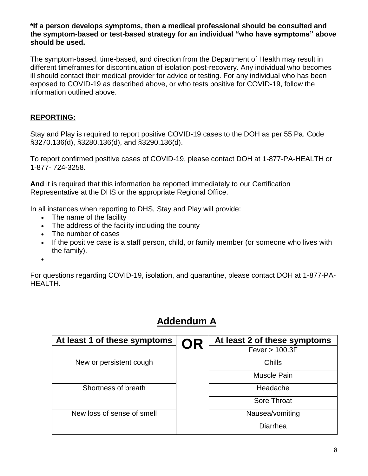#### **\*If a person develops symptoms, then a medical professional should be consulted and the symptom-based or test-based strategy for an individual "who have symptoms" above should be used.**

The symptom-based, time-based, and direction from the Department of Health may result in different timeframes for discontinuation of isolation post-recovery. Any individual who becomes ill should contact their medical provider for advice or testing. For any individual who has been exposed to COVID-19 as described above, or who tests positive for COVID-19, follow the information outlined above.

## **REPORTING:**

Stay and Play is required to report positive COVID-19 cases to the DOH as per 55 Pa. Code §3270.136(d), §3280.136(d), and §3290.136(d).

To report confirmed positive cases of COVID-19, please contact DOH at 1-877-PA-HEALTH or 1-877- 724-3258.

**And** it is required that this information be reported immediately to our Certification Representative at the DHS or the appropriate Regional Office.

In all instances when reporting to DHS, Stay and Play will provide:

- The name of the facility
- The address of the facility including the county
- The number of cases
- If the positive case is a staff person, child, or family member (or someone who lives with the family).
- $\bullet$

For questions regarding COVID-19, isolation, and quarantine, please contact DOH at 1-877-PA-HEALTH.

# **Addendum A**

| At least 1 of these symptoms | <b>OR</b> | At least 2 of these symptoms |
|------------------------------|-----------|------------------------------|
|                              |           | Fever > 100.3F               |
| New or persistent cough      |           | Chills                       |
|                              |           | Muscle Pain                  |
| Shortness of breath          |           | Headache                     |
|                              |           | Sore Throat                  |
| New loss of sense of smell   |           | Nausea/vomiting              |
|                              |           | Diarrhea                     |